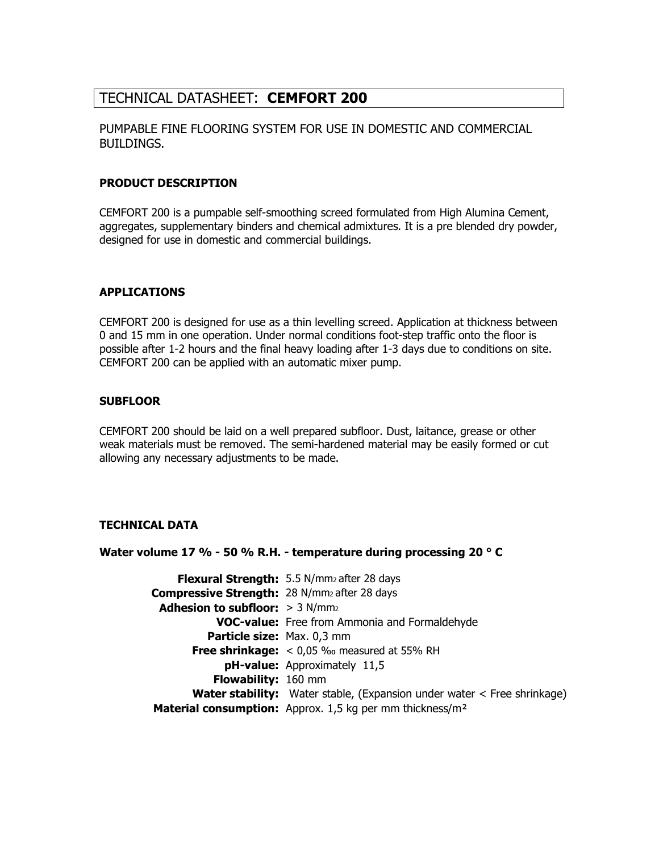## TECHNICAL DATASHEET: CEMFORT 200

## PUMPABLE FINE FLOORING SYSTEM FOR USE IN DOMESTIC AND COMMERCIAL BUILDINGS.

## PRODUCT DESCRIPTION

CEMFORT 200 is a pumpable self-smoothing screed formulated from High Alumina Cement, aggregates, supplementary binders and chemical admixtures. It is a pre blended dry powder, designed for use in domestic and commercial buildings.

## APPLICATIONS

CEMFORT 200 is designed for use as a thin levelling screed. Application at thickness between 0 and 15 mm in one operation. Under normal conditions foot-step traffic onto the floor is possible after 1-2 hours and the final heavy loading after 1-3 days due to conditions on site. CEMFORT 200 can be applied with an automatic mixer pump.

## **SUBFLOOR**

CEMFORT 200 should be laid on a well prepared subfloor. Dust, laitance, grease or other weak materials must be removed. The semi-hardened material may be easily formed or cut allowing any necessary adjustments to be made.

## TECHNICAL DATA

## Water volume 17 % - 50 % R.H. - temperature during processing 20 ° C

Flexural Strength: 5.5 N/mm<sub>2</sub> after 28 days Compressive Strength: 28 N/mm<sub>2</sub> after 28 days Adhesion to subfloor:  $> 3$  N/mm<sub>2</sub> VOC-value: Free from Ammonia and Formaldehyde Particle size: Max. 0,3 mm Free shrinkage:  $< 0.05$  ‰ measured at 55% RH pH-value: Approximately 11,5 Flowability: 160 mm **Water stability:** Water stable, (Expansion under water  $\leq$  Free shrinkage) Material consumption: Approx. 1,5 kg per mm thickness/m<sup>2</sup>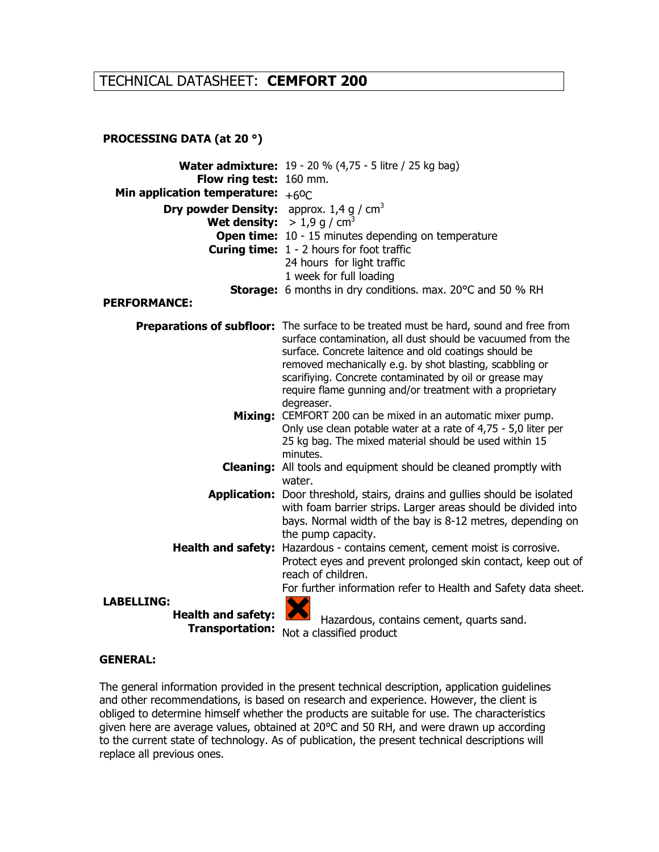## TECHNICAL DATASHEET: CEMFORT 200

## PROCESSING DATA (at 20 °)

| Flow ring test: 160 mm.<br>Min application temperature: $+60C$<br><b>Dry powder Density:</b> approx. 1,4 g / cm <sup>3</sup><br><b>Wet density:</b> $> 1.9$ g / cm <sup>3</sup> | <b>Water admixture:</b> 19 - 20 % (4,75 - 5 litre / 25 kg bag)                                                                                                                                                                                                                                                                                                                                                                                                                                                                            |
|---------------------------------------------------------------------------------------------------------------------------------------------------------------------------------|-------------------------------------------------------------------------------------------------------------------------------------------------------------------------------------------------------------------------------------------------------------------------------------------------------------------------------------------------------------------------------------------------------------------------------------------------------------------------------------------------------------------------------------------|
|                                                                                                                                                                                 | <b>Open time:</b> 10 - 15 minutes depending on temperature                                                                                                                                                                                                                                                                                                                                                                                                                                                                                |
|                                                                                                                                                                                 | <b>Curing time:</b> 1 - 2 hours for foot traffic                                                                                                                                                                                                                                                                                                                                                                                                                                                                                          |
|                                                                                                                                                                                 | 24 hours for light traffic                                                                                                                                                                                                                                                                                                                                                                                                                                                                                                                |
|                                                                                                                                                                                 | 1 week for full loading<br><b>Storage:</b> 6 months in dry conditions. max. 20°C and 50 % RH                                                                                                                                                                                                                                                                                                                                                                                                                                              |
| <b>PERFORMANCE:</b>                                                                                                                                                             |                                                                                                                                                                                                                                                                                                                                                                                                                                                                                                                                           |
|                                                                                                                                                                                 |                                                                                                                                                                                                                                                                                                                                                                                                                                                                                                                                           |
| Mixing:                                                                                                                                                                         | Preparations of subfloor: The surface to be treated must be hard, sound and free from<br>surface contamination, all dust should be vacuumed from the<br>surface. Concrete laitence and old coatings should be<br>removed mechanically e.g. by shot blasting, scabbling or<br>scarifiying. Concrete contaminated by oil or grease may<br>require flame gunning and/or treatment with a proprietary<br>degreaser.<br>CEMFORT 200 can be mixed in an automatic mixer pump.<br>Only use clean potable water at a rate of 4,75 - 5,0 liter per |
|                                                                                                                                                                                 | 25 kg bag. The mixed material should be used within 15                                                                                                                                                                                                                                                                                                                                                                                                                                                                                    |
|                                                                                                                                                                                 | minutes.<br><b>Cleaning:</b> All tools and equipment should be cleaned promptly with                                                                                                                                                                                                                                                                                                                                                                                                                                                      |
|                                                                                                                                                                                 | water.                                                                                                                                                                                                                                                                                                                                                                                                                                                                                                                                    |
|                                                                                                                                                                                 | <b>Application:</b> Door threshold, stairs, drains and gullies should be isolated<br>with foam barrier strips. Larger areas should be divided into<br>bays. Normal width of the bay is 8-12 metres, depending on<br>the pump capacity.                                                                                                                                                                                                                                                                                                    |
| <b>Health and safety:</b>                                                                                                                                                       | Hazardous - contains cement, cement moist is corrosive.<br>Protect eyes and prevent prolonged skin contact, keep out of<br>reach of children.                                                                                                                                                                                                                                                                                                                                                                                             |
|                                                                                                                                                                                 | For further information refer to Health and Safety data sheet.                                                                                                                                                                                                                                                                                                                                                                                                                                                                            |
| <b>LABELLING:</b>                                                                                                                                                               |                                                                                                                                                                                                                                                                                                                                                                                                                                                                                                                                           |
| <b>Health and safety:</b><br><b>Transportation:</b>                                                                                                                             | Hazardous, contains cement, quarts sand.                                                                                                                                                                                                                                                                                                                                                                                                                                                                                                  |
|                                                                                                                                                                                 | Not a classified product                                                                                                                                                                                                                                                                                                                                                                                                                                                                                                                  |

#### GENERAL:

The general information provided in the present technical description, application guidelines and other recommendations, is based on research and experience. However, the client is obliged to determine himself whether the products are suitable for use. The characteristics given here are average values, obtained at 20°C and 50 RH, and were drawn up according to the current state of technology. As of publication, the present technical descriptions will replace all previous ones.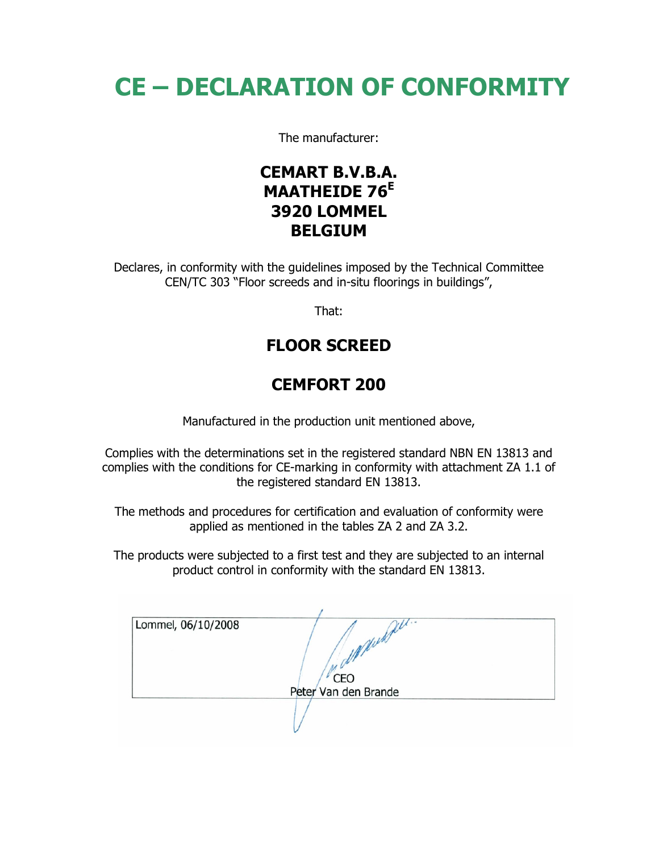# CE – DECLARATION OF CONFORMITY

The manufacturer:

## CEMART B.V.B.A. MAATHEIDE 76<sup>E</sup> 3920 LOMMEL BELGIUM

Declares, in conformity with the guidelines imposed by the Technical Committee CEN/TC 303 "Floor screeds and in-situ floorings in buildings",

That:

# FLOOR SCREED

# CEMFORT 200

Manufactured in the production unit mentioned above,

Complies with the determinations set in the registered standard NBN EN 13813 and complies with the conditions for CE-marking in conformity with attachment ZA 1.1 of the registered standard EN 13813.

The methods and procedures for certification and evaluation of conformity were applied as mentioned in the tables ZA 2 and ZA 3.2.

The products were subjected to a first test and they are subjected to an internal product control in conformity with the standard EN 13813.

| Lommel, 06/10/2008 |                      |  |
|--------------------|----------------------|--|
|                    |                      |  |
|                    |                      |  |
|                    |                      |  |
|                    |                      |  |
|                    | CEO                  |  |
|                    | Peter Van den Brande |  |
|                    |                      |  |
|                    |                      |  |
|                    |                      |  |
|                    |                      |  |
|                    |                      |  |